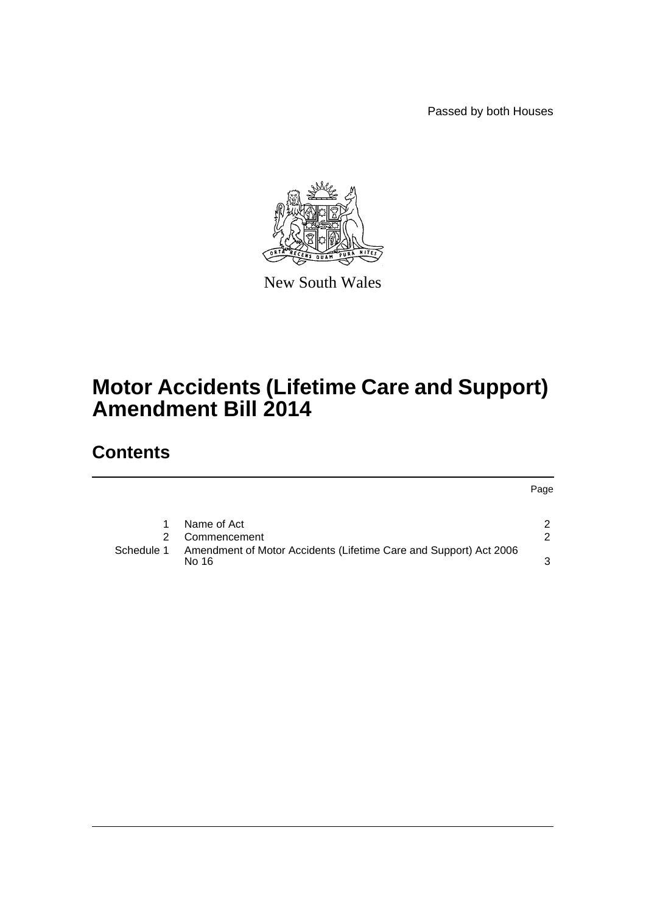Passed by both Houses



New South Wales

# **Motor Accidents (Lifetime Care and Support) Amendment Bill 2014**

## **Contents**

[1 Name of Act](#page-2-0) 2 [2 Commencement](#page-2-1) 2 2 [Schedule 1 Amendment of Motor Accidents \(Lifetime Care and Support\) Act 2006](#page-3-0)  [No 16](#page-3-0)  $\sim$  3

Page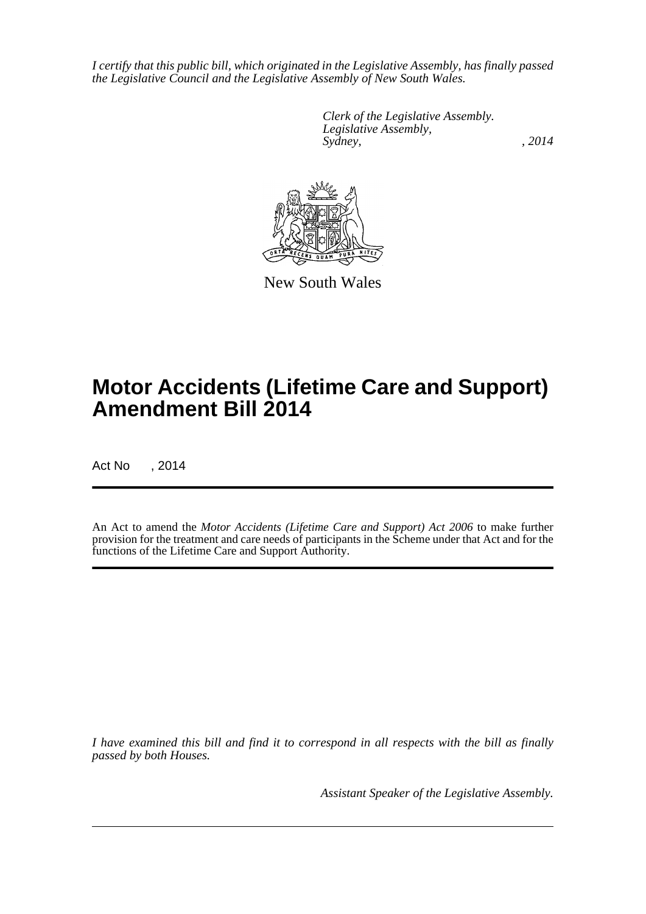*I certify that this public bill, which originated in the Legislative Assembly, has finally passed the Legislative Council and the Legislative Assembly of New South Wales.*

> *Clerk of the Legislative Assembly. Legislative Assembly, Sydney,* , 2014



New South Wales

# **Motor Accidents (Lifetime Care and Support) Amendment Bill 2014**

Act No , 2014

An Act to amend the *Motor Accidents (Lifetime Care and Support) Act 2006* to make further provision for the treatment and care needs of participants in the Scheme under that Act and for the functions of the Lifetime Care and Support Authority.

*I have examined this bill and find it to correspond in all respects with the bill as finally passed by both Houses.*

*Assistant Speaker of the Legislative Assembly.*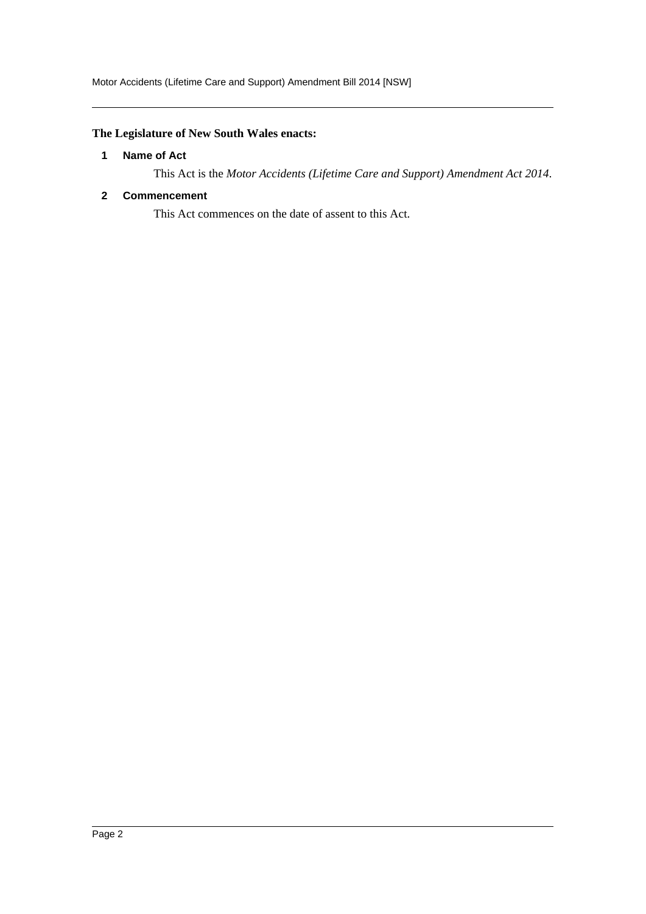## <span id="page-2-0"></span>**The Legislature of New South Wales enacts:**

#### **1 Name of Act**

This Act is the *Motor Accidents (Lifetime Care and Support) Amendment Act 2014*.

### <span id="page-2-1"></span>**2 Commencement**

This Act commences on the date of assent to this Act.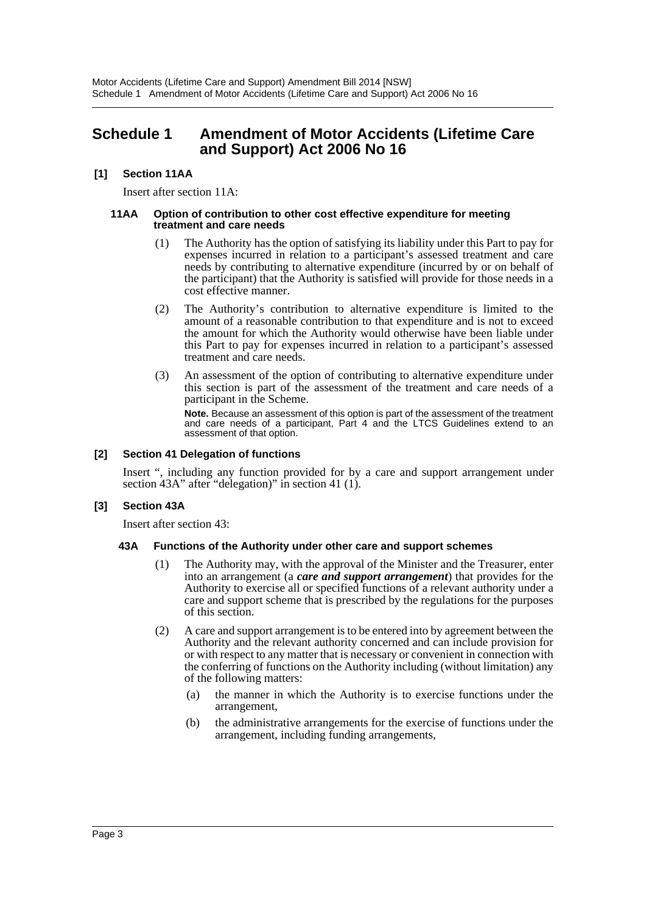## <span id="page-3-0"></span>**Schedule 1 Amendment of Motor Accidents (Lifetime Care and Support) Act 2006 No 16**

#### **[1] Section 11AA**

Insert after section 11A:

#### **11AA Option of contribution to other cost effective expenditure for meeting treatment and care needs**

- (1) The Authority has the option of satisfying its liability under this Part to pay for expenses incurred in relation to a participant's assessed treatment and care needs by contributing to alternative expenditure (incurred by or on behalf of the participant) that the Authority is satisfied will provide for those needs in a cost effective manner.
- (2) The Authority's contribution to alternative expenditure is limited to the amount of a reasonable contribution to that expenditure and is not to exceed the amount for which the Authority would otherwise have been liable under this Part to pay for expenses incurred in relation to a participant's assessed treatment and care needs.
- (3) An assessment of the option of contributing to alternative expenditure under this section is part of the assessment of the treatment and care needs of a participant in the Scheme.

**Note.** Because an assessment of this option is part of the assessment of the treatment and care needs of a participant, Part 4 and the LTCS Guidelines extend to an assessment of that option.

#### **[2] Section 41 Delegation of functions**

Insert ", including any function provided for by a care and support arrangement under section 43A" after "delegation)" in section 41 (1).

#### **[3] Section 43A**

Insert after section 43:

#### **43A Functions of the Authority under other care and support schemes**

- (1) The Authority may, with the approval of the Minister and the Treasurer, enter into an arrangement (a *care and support arrangement*) that provides for the Authority to exercise all or specified functions of a relevant authority under a care and support scheme that is prescribed by the regulations for the purposes of this section.
- (2) A care and support arrangement is to be entered into by agreement between the Authority and the relevant authority concerned and can include provision for or with respect to any matter that is necessary or convenient in connection with the conferring of functions on the Authority including (without limitation) any of the following matters:
	- (a) the manner in which the Authority is to exercise functions under the arrangement,
	- (b) the administrative arrangements for the exercise of functions under the arrangement, including funding arrangements,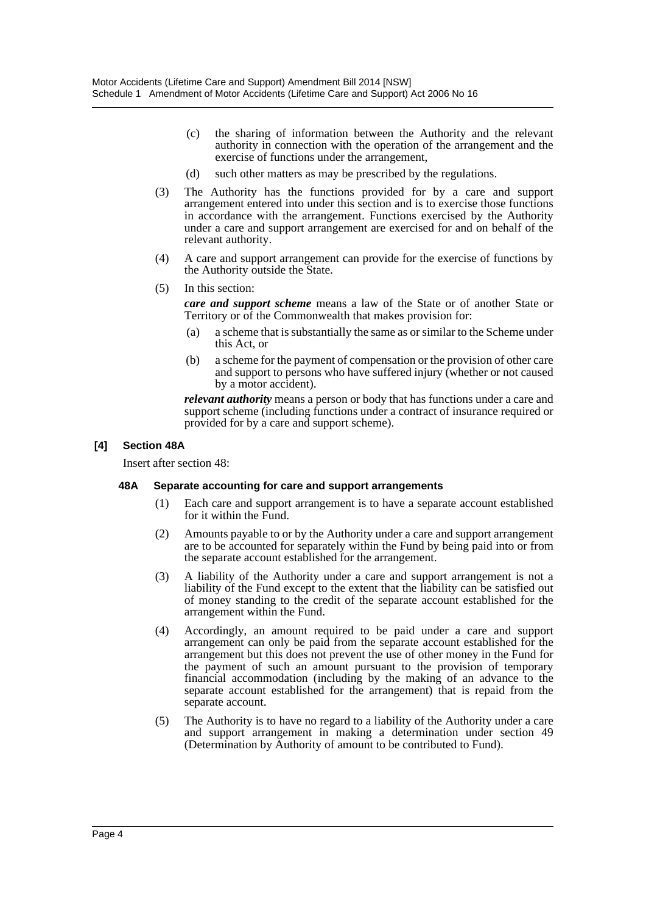- (c) the sharing of information between the Authority and the relevant authority in connection with the operation of the arrangement and the exercise of functions under the arrangement,
- (d) such other matters as may be prescribed by the regulations.
- (3) The Authority has the functions provided for by a care and support arrangement entered into under this section and is to exercise those functions in accordance with the arrangement. Functions exercised by the Authority under a care and support arrangement are exercised for and on behalf of the relevant authority.
- (4) A care and support arrangement can provide for the exercise of functions by the Authority outside the State.
- (5) In this section:

*care and support scheme* means a law of the State or of another State or Territory or of the Commonwealth that makes provision for:

- (a) a scheme that is substantially the same as or similar to the Scheme under this Act, or
- (b) a scheme for the payment of compensation or the provision of other care and support to persons who have suffered injury (whether or not caused by a motor accident).

*relevant authority* means a person or body that has functions under a care and support scheme (including functions under a contract of insurance required or provided for by a care and support scheme).

#### **[4] Section 48A**

Insert after section 48:

#### **48A Separate accounting for care and support arrangements**

- (1) Each care and support arrangement is to have a separate account established for it within the Fund.
- (2) Amounts payable to or by the Authority under a care and support arrangement are to be accounted for separately within the Fund by being paid into or from the separate account established for the arrangement.
- (3) A liability of the Authority under a care and support arrangement is not a liability of the Fund except to the extent that the liability can be satisfied out of money standing to the credit of the separate account established for the arrangement within the Fund.
- (4) Accordingly, an amount required to be paid under a care and support arrangement can only be paid from the separate account established for the arrangement but this does not prevent the use of other money in the Fund for the payment of such an amount pursuant to the provision of temporary financial accommodation (including by the making of an advance to the separate account established for the arrangement) that is repaid from the separate account.
- (5) The Authority is to have no regard to a liability of the Authority under a care and support arrangement in making a determination under section 49 (Determination by Authority of amount to be contributed to Fund).